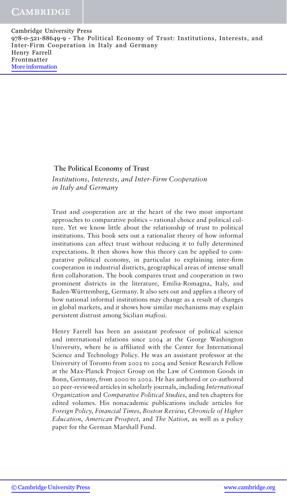## **The Political Economy of Trust**

*Institutions, Interests, and Inter-Firm Cooperation in Italy and Germany*

Trust and cooperation are at the heart of the two most important approaches to comparative politics – rational choice and political culture. Yet we know little about the relationship of trust to political institutions. This book sets out a rationalist theory of how informal institutions can affect trust without reducing it to fully determined expectations. It then shows how this theory can be applied to comparative political economy, in particular to explaining inter-firm cooperation in industrial districts, geographical areas of intense small firm collaboration. The book compares trust and cooperation in two prominent districts in the literature, Emilia-Romagna, Italy, and Baden-Württemberg, Germany. It also sets out and applies a theory of how national informal institutions may change as a result of changes in global markets, and it shows how similar mechanisms may explain persistent distrust among Sicilian *mafiosi*.

Henry Farrell has been an assistant professor of political science and international relations since 2004 at the George Washington University, where he is affiliated with the Center for International Science and Technology Policy. He was an assistant professor at the University of Toronto from 2002 to 2004 and Senior Research Fellow at the Max-Planck Project Group on the Law of Common Goods in Bonn, Germany, from 2000 to 2002. He has authored or co-authored 20 peer-reviewed articles in scholarly journals, including *International Organization* and *Comparative Political Studies*, and ten chapters for edited volumes. His nonacademic publications include articles for *Foreign Policy*, *Financial Times*, *Boston Review*, *Chronicle of Higher Education*, *American Prospect*, and *The Nation*, as well as a policy paper for the German Marshall Fund.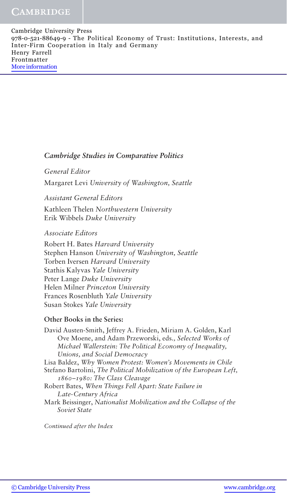## *Cambridge Studies in Comparative Politics*

*General Editor*

Margaret Levi *University of Washington, Seattle*

#### *Assistant General Editors*

Kathleen Thelen *Northwestern University* Erik Wibbels *Duke University*

#### *Associate Editors*

Robert H. Bates *Harvard University* Stephen Hanson *University of Washington, Seattle* Torben Iversen *Harvard University* Stathis Kalyvas *Yale University* Peter Lange *Duke University* Helen Milner *Princeton University* Frances Rosenbluth *Yale University* Susan Stokes *Yale University*

### **Other Books in the Series:**

David Austen-Smith, Jeffrey A. Frieden, Miriam A. Golden, Karl Ove Moene, and Adam Przeworski, eds.*, Selected Works of Michael Wallerstein: The Political Economy of Inequality, Unions, and Social Democracy* Lisa Baldez, *Why Women Protest: Women's Movements in Chile* Stefano Bartolini, *The Political Mobilization of the European Left, 1860–1980: The Class Cleavage* Robert Bates, *When Things Fell Apart: State Failure in Late-Century Africa* Mark Beissinger, *Nationalist Mobilization and the Collapse of the Soviet State*

*Continued after the Index*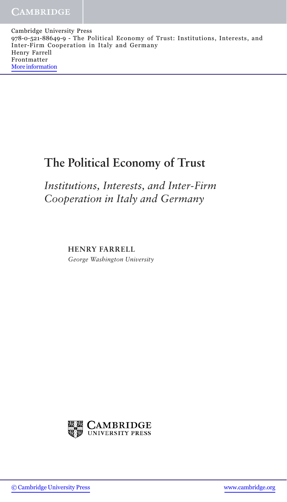# **The Political Economy of Trust**

*Institutions, Interests, and Inter-Firm Cooperation in Italy and Germany*

**HENRY FARRELL**

*George Washington University*

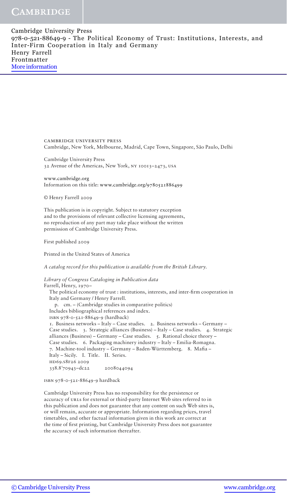## **CAMBRIDGE**

Cambridge University Press 978-0-521-88649-9 - The Political Economy of Trust: Institutions, Interests, and Inter-Firm Cooperation in Italy and Germany Henry Farrell Frontmatter [More information](http://www.cambridge.org/9780521886499)

> cambridge university press Cambridge, New York, Melbourne, Madrid, Cape Town, Singapore, São Paulo, Delhi

Cambridge University Press 32 Avenue of the Americas, New York, ny 10013–2473, usa

www.cambridge.org Information on this title: www.cambridge.org/9780521886499

© Henry Farrell 2009

This publication is in copyright. Subject to statutory exception and to the provisions of relevant collective licensing agreements, no reproduction of any part may take place without the written permission of Cambridge University Press.

First published 2009

Printed in the United States of America

*A catalog record for this publication is available from the British Library.*

*Library of Congress Cataloging in Publication data*

Farrell, Henry, 1970– The political economy of trust : institutions, interests, and inter-firm cooperation in Italy and Germany / Henry Farrell. p. cm. – (Cambridge studies in comparative politics) Includes bibliographical references and index. isbn 978-0-521-88649-9 (hardback) 1. Business networks – Italy – Case studies. 2. Business networks – Germany – Case studies. 3. Strategic alliances (Business) – Italy – Case studies. 4. Strategic alliances (Business) – Germany – Case studies. 5. Rational choice theory – Case studies. 6. Packaging machinery industry – Italy – Emilia-Romagna. 7. Machine-tool industry – Germany – Baden-Württemberg. 8. Mafia – Italy – Sicily. I. Title. II. Series. hd69.s8f26 2009 338.870943–dc22 2008044094

isbn 978-0-521-88649-9 hardback

Cambridge University Press has no responsibility for the persistence or accuracy of urls for external or third-party Internet Web sites referred to in this publication and does not guarantee that any content on such Web sites is, or will remain, accurate or appropriate. Information regarding prices, travel timetables, and other factual information given in this work are correct at the time of first printing, but Cambridge University Press does not guarantee the accuracy of such information thereafter.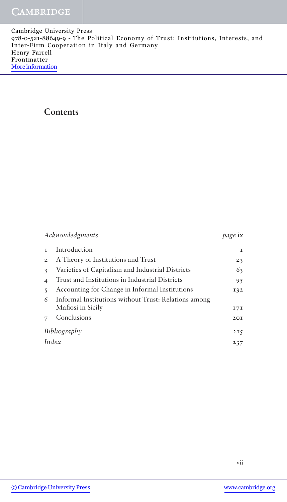| Cambridge University Press                                                       |
|----------------------------------------------------------------------------------|
| 978-0-521-88649-9 - The Political Economy of Trust: Institutions, Interests, and |
| Inter-Firm Cooperation in Italy and Germany                                      |
| Henry Farrell                                                                    |
| Frontmatter                                                                      |
| More information                                                                 |
|                                                                                  |

# **Contents**

| Acknowledgments         |                                                                           | page ix         |
|-------------------------|---------------------------------------------------------------------------|-----------------|
|                         | Introduction                                                              | T               |
| $\mathbf{2}$            | A Theory of Institutions and Trust                                        | 23              |
| $\overline{\mathbf{3}}$ | Varieties of Capitalism and Industrial Districts                          | 63              |
| 4                       | Trust and Institutions in Industrial Districts                            | 95              |
|                         | Accounting for Change in Informal Institutions                            | 132             |
| 6                       | Informal Institutions without Trust: Relations among<br>Mafiosi in Sicily | 17I             |
|                         | Conclusions                                                               | 2O <sub>I</sub> |
| Bibliography            |                                                                           | 215             |
| Index                   |                                                                           | 237             |
|                         |                                                                           |                 |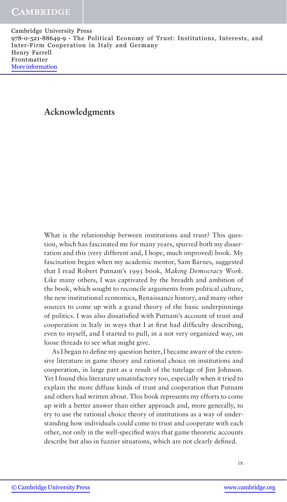## **Acknowledgments**

What is the relationship between institutions and trust? This question, which has fascinated me for many years, spurred both my dissertation and this (very different and, I hope, much improved) book. My fascination began when my academic mentor, Sam Barnes, suggested that I read Robert Putnam's 1993 book, *Making Democracy Work*. Like many others, I was captivated by the breadth and ambition of the book, which sought to reconcile arguments from political culture, the new institutional economics, Renaissance history, and many other sources to come up with a grand theory of the basic underpinnings of politics. I was also dissatisfied with Putnam's account of trust and cooperation in Italy in ways that I at first had difficulty describing, even to myself, and I started to pull, in a not very organized way, on loose threads to see what might give.

As I began to define my question better, I became aware of the extensive literature in game theory and rational choice on institutions and cooperation, in large part as a result of the tutelage of Jim Johnson. Yet I found this literature unsatisfactory too, especially when it tried to explain the more diffuse kinds of trust and cooperation that Putnam and others had written about. This book represents my efforts to come up with a better answer than either approach and, more generally, to try to use the rational choice theory of institutions as a way of understanding how individuals could come to trust and cooperate with each other, not only in the well-specified ways that game theoretic accounts describe but also in fuzzier situations, which are not clearly defined.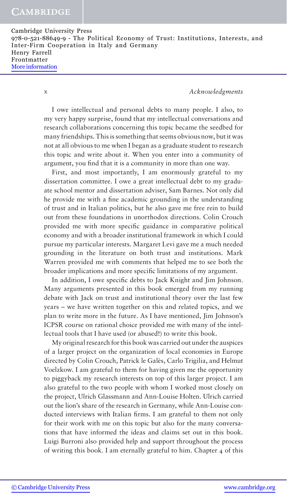x *Acknowledgments*

I owe intellectual and personal debts to many people. I also, to my very happy surprise, found that my intellectual conversations and research collaborations concerning this topic became the seedbed for many friendships. This is something that seems obvious now, but it was not at all obvious to me when I began as a graduate student to research this topic and write about it. When you enter into a community of argument, you find that it is a community in more than one way.

First, and most importantly, I am enormously grateful to my dissertation committee. I owe a great intellectual debt to my graduate school mentor and dissertation adviser, Sam Barnes. Not only did he provide me with a fine academic grounding in the understanding of trust and in Italian politics, but he also gave me free rein to build out from these foundations in unorthodox directions. Colin Crouch provided me with more specific guidance in comparative political economy and with a broader institutional framework in which I could pursue my particular interests. Margaret Levi gave me a much needed grounding in the literature on both trust and institutions. Mark Warren provided me with comments that helped me to see both the broader implications and more specific limitations of my argument.

In addition, I owe specific debts to Jack Knight and Jim Johnson. Many arguments presented in this book emerged from my running debate with Jack on trust and institutional theory over the last few years – we have written together on this and related topics, and we plan to write more in the future. As I have mentioned, Jim Johnson's ICPSR course on rational choice provided me with many of the intellectual tools that I have used (or abused!) to write this book.

My original research for this book was carried out under the auspices of a larger project on the organization of local economies in Europe directed by Colin Crouch, Patrick le Galès, Carlo Trigilia, and Helmut Voelzkow. I am grateful to them for having given me the opportunity to piggyback my research interests on top of this larger project. I am also grateful to the two people with whom I worked most closely on the project, Ulrich Glassmann and Ann-Louise Holten. Ulrich carried out the lion's share of the research in Germany, while Ann-Louise conducted interviews with Italian firms. I am grateful to them not only for their work with me on this topic but also for the many conversations that have informed the ideas and claims set out in this book. Luigi Burroni also provided help and support throughout the process of writing this book. I am eternally grateful to him. Chapter 4 of this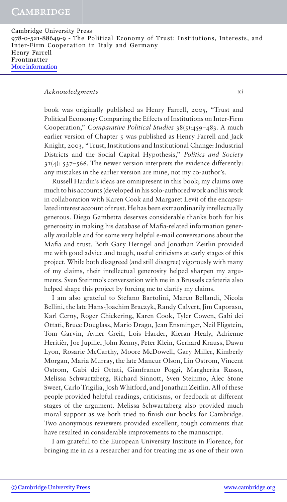#### *Acknowledgments* xi

book was originally published as Henry Farrell, 2005, "Trust and Political Economy: Comparing the Effects of Institutions on Inter-Firm Cooperation," *Comparative Political Studies* 38(5):459–483. A much earlier version of Chapter 5 was published as Henry Farrell and Jack Knight, 2003, "Trust, Institutions and Institutional Change: Industrial Districts and the Social Capital Hypothesis," *Politics and Society*  $31(4)$ :  $537-566$ . The newer version interprets the evidence differently: any mistakes in the earlier version are mine, not my co-author's.

Russell Hardin's ideas are omnipresent in this book; my claims owe much to his accounts (developed in his solo-authored work and his work in collaboration with Karen Cook and Margaret Levi) of the encapsulated interest account of trust. He has been extraordinarily intellectually generous. Diego Gambetta deserves considerable thanks both for his generosity in making his database of Mafia-related information generally available and for some very helpful e-mail conversations about the Mafia and trust. Both Gary Herrigel and Jonathan Zeitlin provided me with good advice and tough, useful criticisms at early stages of this project. While both disagreed (and still disagree) vigorously with many of my claims, their intellectual generosity helped sharpen my arguments. Sven Steinmo's conversation with me in a Brussels cafeteria also helped shape this project by forcing me to clarify my claims.

I am also grateful to Stefano Bartolini, Marco Bellandi, Nicola Bellini, the late Hans-Joachim Braczyk, Randy Calvert, Jim Caporaso, Karl Cerny, Roger Chickering, Karen Cook, Tyler Cowen, Gabi dei Ottati, Bruce Douglass, Mario Drago, Jean Ensminger, Neil Fligstein, Tom Garvin, Avner Greif, Lois Harder, Kieran Healy, Adrienne Heritièr, Joe Jupille, John Kenny, Peter Klein, Gerhard Krauss, Dawn Lyon, Rosarie McCarthy, Moore McDowell, Gary Miller, Kimberly Morgan, Maria Murray, the late Mancur Olson, Lin Ostrom, Vincent Ostrom, Gabi dei Ottati, Gianfranco Poggi, Margherita Russo, Melissa Schwartzberg, Richard Sinnott, Sven Steinmo, Alec Stone Sweet, Carlo Trigilia, Josh Whitford, and Jonathan Zeitlin. All of these people provided helpful readings, criticisms, or feedback at different stages of the argument. Melissa Schwartzberg also provided much moral support as we both tried to finish our books for Cambridge. Two anonymous reviewers provided excellent, tough comments that have resulted in considerable improvements to the manuscript.

I am grateful to the European University Institute in Florence, for bringing me in as a researcher and for treating me as one of their own